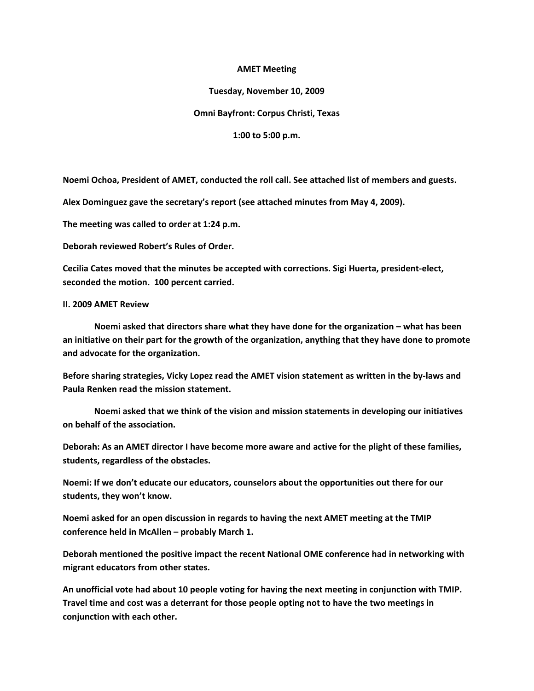### **AMET Meeting**

### **Tuesday, November 10, 2009**

## **Omni Bayfront: Corpus Christi, Texas**

**1:00 to 5:00 p.m.**

**Noemi Ochoa, President of AMET, conducted the roll call. See attached list of members and guests.**

**Alex Dominguez gave the secretary's report (see attached minutes from May 4, 2009).**

**The meeting was called to order at 1:24 p.m.**

**Deborah reviewed Robert's Rules of Order.**

**Cecilia Cates moved that the minutes be accepted with corrections. Sigi Huerta, president-elect, seconded the motion. 100 percent carried.**

#### **II. 2009 AMET Review**

**Noemi asked that directors share what they have done for the organization – what has been an initiative on their part for the growth of the organization, anything that they have done to promote and advocate for the organization.**

**Before sharing strategies, Vicky Lopez read the AMET vision statement as written in the by-laws and Paula Renken read the mission statement.** 

**Noemi asked that we think of the vision and mission statements in developing our initiatives on behalf of the association.**

**Deborah: As an AMET director I have become more aware and active for the plight of these families, students, regardless of the obstacles.**

**Noemi: If we don't educate our educators, counselors about the opportunities out there for our students, they won't know.** 

**Noemi asked for an open discussion in regards to having the next AMET meeting at the TMIP conference held in McAllen – probably March 1.** 

**Deborah mentioned the positive impact the recent National OME conference had in networking with migrant educators from other states.**

**An unofficial vote had about 10 people voting for having the next meeting in conjunction with TMIP. Travel time and cost was a deterrant for those people opting not to have the two meetings in conjunction with each other.**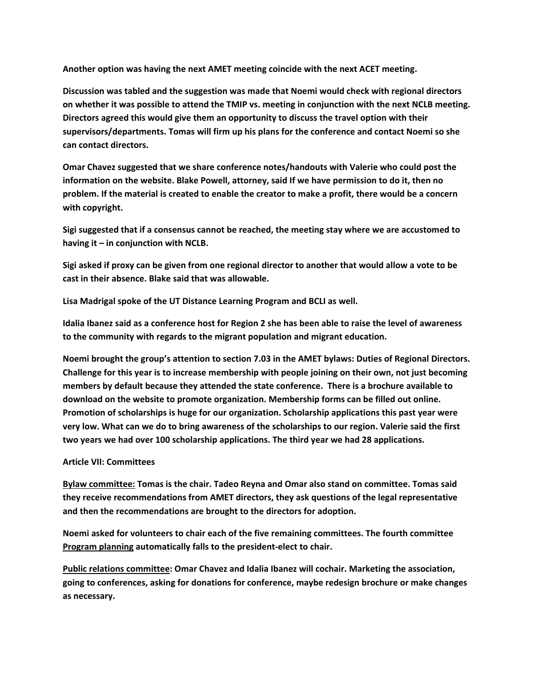**Another option was having the next AMET meeting coincide with the next ACET meeting.** 

**Discussion was tabled and the suggestion was made that Noemi would check with regional directors on whether it was possible to attend the TMIP vs. meeting in conjunction with the next NCLB meeting. Directors agreed this would give them an opportunity to discuss the travel option with their supervisors/departments. Tomas will firm up his plans for the conference and contact Noemi so she can contact directors.**

**Omar Chavez suggested that we share conference notes/handouts with Valerie who could post the information on the website. Blake Powell, attorney, said If we have permission to do it, then no problem. If the material is created to enable the creator to make a profit, there would be a concern with copyright.**

**Sigi suggested that if a consensus cannot be reached, the meeting stay where we are accustomed to having it – in conjunction with NCLB.** 

**Sigi asked if proxy can be given from one regional director to another that would allow a vote to be cast in their absence. Blake said that was allowable.**

**Lisa Madrigal spoke of the UT Distance Learning Program and BCLI as well.**

**Idalia Ibanez said as a conference host for Region 2 she has been able to raise the level of awareness to the community with regards to the migrant population and migrant education.**

**Noemi brought the group's attention to section 7.03 in the AMET bylaws: Duties of Regional Directors. Challenge for this year is to increase membership with people joining on their own, not just becoming members by default because they attended the state conference. There is a brochure available to download on the website to promote organization. Membership forms can be filled out online. Promotion of scholarships is huge for our organization. Scholarship applications this past year were very low. What can we do to bring awareness of the scholarships to our region. Valerie said the first two years we had over 100 scholarship applications. The third year we had 28 applications.**

# **Article VII: Committees**

**Bylaw committee: Tomas is the chair. Tadeo Reyna and Omar also stand on committee. Tomas said they receive recommendations from AMET directors, they ask questions of the legal representative and then the recommendations are brought to the directors for adoption.**

**Noemi asked for volunteers to chair each of the five remaining committees. The fourth committee Program planning automatically falls to the president-elect to chair.** 

**Public relations committee: Omar Chavez and Idalia Ibanez will cochair. Marketing the association, going to conferences, asking for donations for conference, maybe redesign brochure or make changes as necessary.**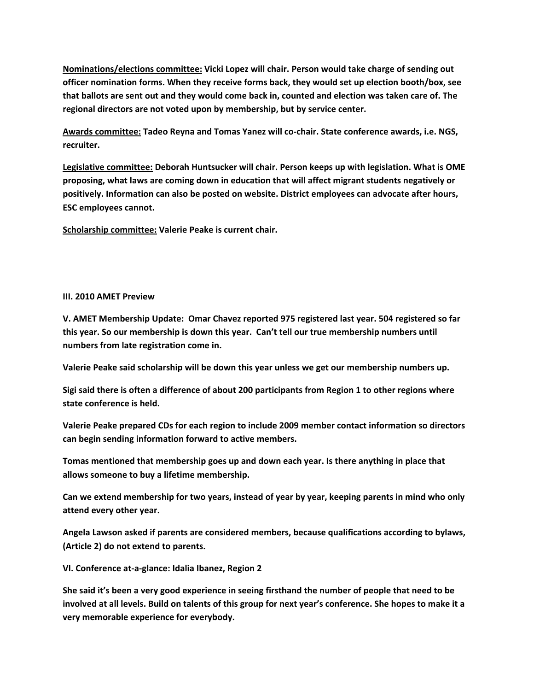**Nominations/elections committee: Vicki Lopez will chair. Person would take charge of sending out officer nomination forms. When they receive forms back, they would set up election booth/box, see that ballots are sent out and they would come back in, counted and election was taken care of. The regional directors are not voted upon by membership, but by service center.** 

**Awards committee: Tadeo Reyna and Tomas Yanez will co-chair. State conference awards, i.e. NGS, recruiter.**

**Legislative committee: Deborah Huntsucker will chair. Person keeps up with legislation. What is OME proposing, what laws are coming down in education that will affect migrant students negatively or positively. Information can also be posted on website. District employees can advocate after hours, ESC employees cannot.** 

**Scholarship committee: Valerie Peake is current chair.**

## **III. 2010 AMET Preview**

**V. AMET Membership Update: Omar Chavez reported 975 registered last year. 504 registered so far this year. So our membership is down this year. Can't tell our true membership numbers until numbers from late registration come in.**

**Valerie Peake said scholarship will be down this year unless we get our membership numbers up.** 

**Sigi said there is often a difference of about 200 participants from Region 1 to other regions where state conference is held.** 

**Valerie Peake prepared CDs for each region to include 2009 member contact information so directors can begin sending information forward to active members.**

**Tomas mentioned that membership goes up and down each year. Is there anything in place that allows someone to buy a lifetime membership.**

**Can we extend membership for two years, instead of year by year, keeping parents in mind who only attend every other year.** 

**Angela Lawson asked if parents are considered members, because qualifications according to bylaws, (Article 2) do not extend to parents.**

**VI. Conference at-a-glance: Idalia Ibanez, Region 2**

**She said it's been a very good experience in seeing firsthand the number of people that need to be involved at all levels. Build on talents of this group for next year's conference. She hopes to make it a very memorable experience for everybody.**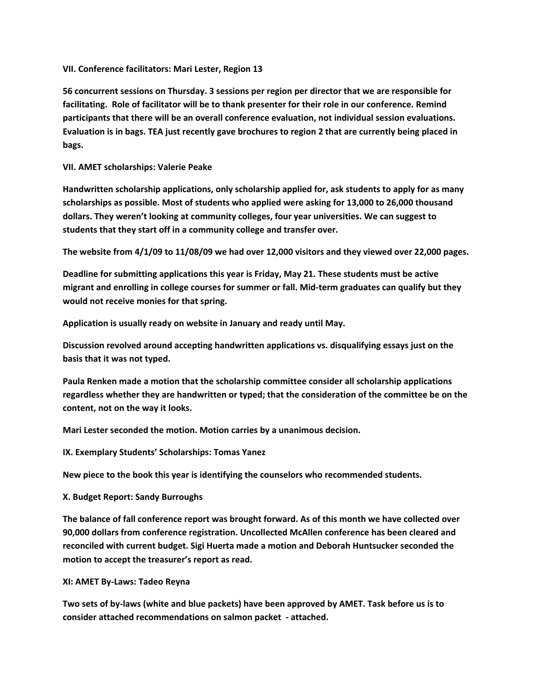**VII. Conference facilitators: Mari Lester, Region 13**

**56 concurrent sessions on Thursday. 3 sessions per region per director that we are responsible for facilitating. Role of facilitator will be to thank presenter for their role in our conference. Remind participants that there will be an overall conference evaluation, not individual session evaluations. Evaluation is in bags. TEA just recently gave brochures to region 2 that are currently being placed in bags.**

**VII. AMET scholarships: Valerie Peake**

**Handwritten scholarship applications, only scholarship applied for, ask students to apply for as many scholarships as possible. Most of students who applied were asking for 13,000 to 26,000 thousand dollars. They weren't looking at community colleges, four year universities. We can suggest to students that they start off in a community college and transfer over.**

**The website from 4/1/09 to 11/08/09 we had over 12,000 visitors and they viewed over 22,000 pages.**

**Deadline for submitting applications this year is Friday, May 21. These students must be active migrant and enrolling in college courses for summer or fall. Mid-term graduates can qualify but they would not receive monies for that spring.**

**Application is usually ready on website in January and ready until May.** 

**Discussion revolved around accepting handwritten applications vs. disqualifying essays just on the basis that it was not typed.** 

**Paula Renken made a motion that the scholarship committee consider all scholarship applications regardless whether they are handwritten or typed; that the consideration of the committee be on the content, not on the way it looks.** 

**Mari Lester seconded the motion. Motion carries by a unanimous decision.**

**IX. Exemplary Students' Scholarships: Tomas Yanez**

**New piece to the book this year is identifying the counselors who recommended students.**

**X. Budget Report: Sandy Burroughs**

**The balance of fall conference report was brought forward. As of this month we have collected over 90,000 dollars from conference registration. Uncollected McAllen conference has been cleared and reconciled with current budget. Sigi Huerta made a motion and Deborah Huntsucker seconded the motion to accept the treasurer's report as read.**

**XI: AMET By-Laws: Tadeo Reyna**

**Two sets of by-laws (white and blue packets) have been approved by AMET. Task before us is to consider attached recommendations on salmon packet - attached.**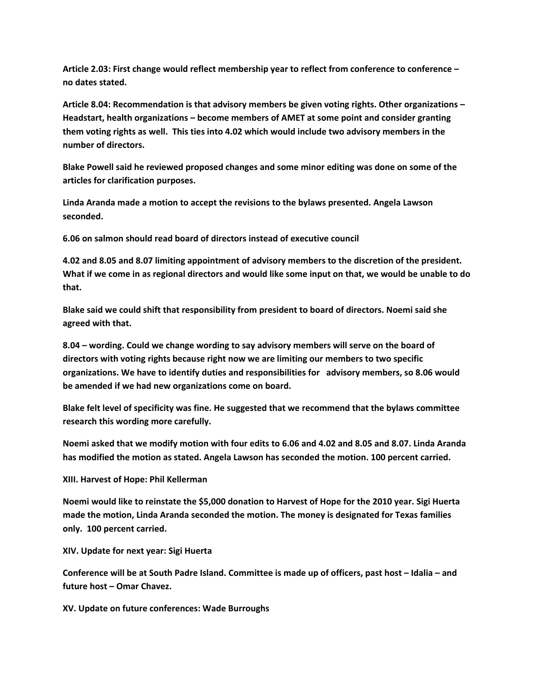**Article 2.03: First change would reflect membership year to reflect from conference to conference – no dates stated.**

**Article 8.04: Recommendation is that advisory members be given voting rights. Other organizations – Headstart, health organizations – become members of AMET at some point and consider granting them voting rights as well. This ties into 4.02 which would include two advisory members in the number of directors.**

**Blake Powell said he reviewed proposed changes and some minor editing was done on some of the articles for clarification purposes.** 

**Linda Aranda made a motion to accept the revisions to the bylaws presented. Angela Lawson seconded.** 

**6.06 on salmon should read board of directors instead of executive council**

**4.02 and 8.05 and 8.07 limiting appointment of advisory members to the discretion of the president. What if we come in as regional directors and would like some input on that, we would be unable to do that.** 

**Blake said we could shift that responsibility from president to board of directors. Noemi said she agreed with that.**

**8.04 – wording. Could we change wording to say advisory members will serve on the board of directors with voting rights because right now we are limiting our members to two specific organizations. We have to identify duties and responsibilities for advisory members, so 8.06 would be amended if we had new organizations come on board.**

**Blake felt level of specificity was fine. He suggested that we recommend that the bylaws committee research this wording more carefully.**

**Noemi asked that we modify motion with four edits to 6.06 and 4.02 and 8.05 and 8.07. Linda Aranda has modified the motion as stated. Angela Lawson has seconded the motion. 100 percent carried.**

**XIII. Harvest of Hope: Phil Kellerman**

**Noemi would like to reinstate the \$5,000 donation to Harvest of Hope for the 2010 year. Sigi Huerta made the motion, Linda Aranda seconded the motion. The money is designated for Texas families only. 100 percent carried.** 

**XIV. Update for next year: Sigi Huerta**

**Conference will be at South Padre Island. Committee is made up of officers, past host – Idalia – and future host – Omar Chavez.**

**XV. Update on future conferences: Wade Burroughs**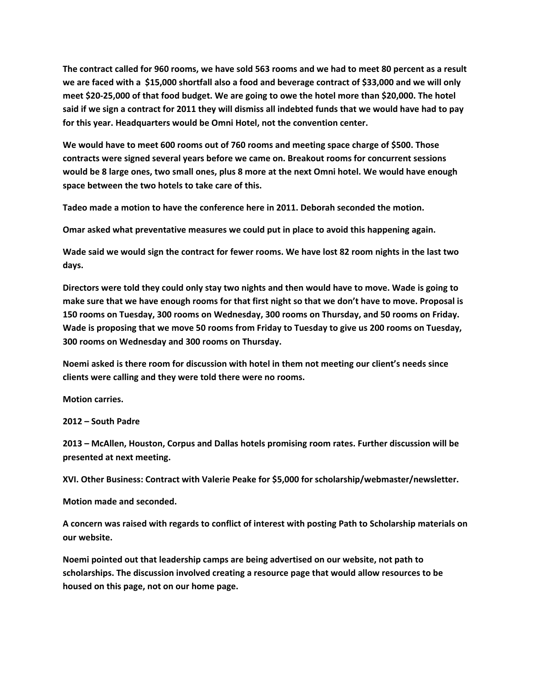**The contract called for 960 rooms, we have sold 563 rooms and we had to meet 80 percent as a result we are faced with a \$15,000 shortfall also a food and beverage contract of \$33,000 and we will only meet \$20-25,000 of that food budget. We are going to owe the hotel more than \$20,000. The hotel said if we sign a contract for 2011 they will dismiss all indebted funds that we would have had to pay for this year. Headquarters would be Omni Hotel, not the convention center.**

**We would have to meet 600 rooms out of 760 rooms and meeting space charge of \$500. Those contracts were signed several years before we came on. Breakout rooms for concurrent sessions would be 8 large ones, two small ones, plus 8 more at the next Omni hotel. We would have enough space between the two hotels to take care of this.**

**Tadeo made a motion to have the conference here in 2011. Deborah seconded the motion.** 

**Omar asked what preventative measures we could put in place to avoid this happening again.** 

**Wade said we would sign the contract for fewer rooms. We have lost 82 room nights in the last two days.** 

**Directors were told they could only stay two nights and then would have to move. Wade is going to make sure that we have enough rooms for that first night so that we don't have to move. Proposal is 150 rooms on Tuesday, 300 rooms on Wednesday, 300 rooms on Thursday, and 50 rooms on Friday. Wade is proposing that we move 50 rooms from Friday to Tuesday to give us 200 rooms on Tuesday, 300 rooms on Wednesday and 300 rooms on Thursday.**

**Noemi asked is there room for discussion with hotel in them not meeting our client's needs since clients were calling and they were told there were no rooms.** 

**Motion carries.**

**2012 – South Padre**

**2013 – McAllen, Houston, Corpus and Dallas hotels promising room rates. Further discussion will be presented at next meeting.**

**XVI. Other Business: Contract with Valerie Peake for \$5,000 for scholarship/webmaster/newsletter.**

**Motion made and seconded.**

**A concern was raised with regards to conflict of interest with posting Path to Scholarship materials on our website.** 

**Noemi pointed out that leadership camps are being advertised on our website, not path to scholarships. The discussion involved creating a resource page that would allow resources to be housed on this page, not on our home page.**